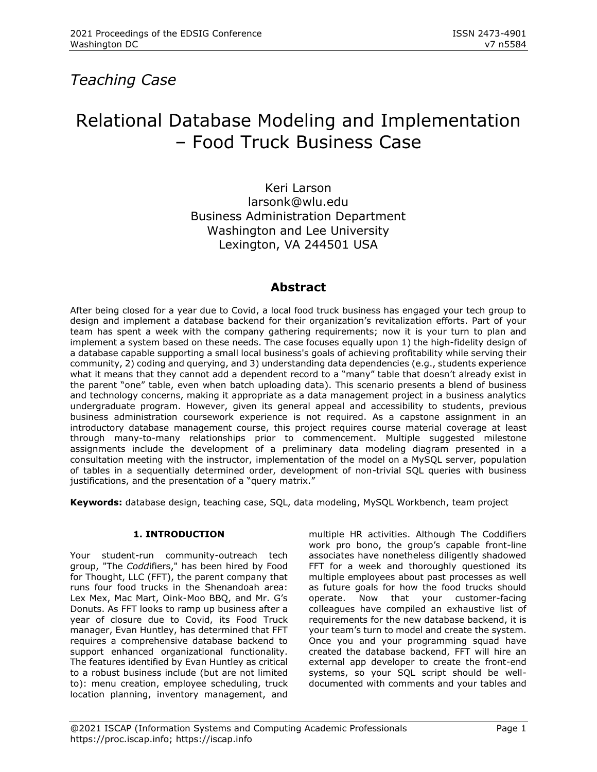# *Teaching Case*

# Relational Database Modeling and Implementation – Food Truck Business Case

Keri Larson larsonk@wlu.edu Business Administration Department Washington and Lee University Lexington, VA 244501 USA

# **Abstract**

After being closed for a year due to Covid, a local food truck business has engaged your tech group to design and implement a database backend for their organization's revitalization efforts. Part of your team has spent a week with the company gathering requirements; now it is your turn to plan and implement a system based on these needs. The case focuses equally upon 1) the high-fidelity design of a database capable supporting a small local business's goals of achieving profitability while serving their community, 2) coding and querying, and 3) understanding data dependencies (e.g., students experience what it means that they cannot add a dependent record to a "many" table that doesn't already exist in the parent "one" table, even when batch uploading data). This scenario presents a blend of business and technology concerns, making it appropriate as a data management project in a business analytics undergraduate program. However, given its general appeal and accessibility to students, previous business administration coursework experience is not required. As a capstone assignment in an introductory database management course, this project requires course material coverage at least through many-to-many relationships prior to commencement. Multiple suggested milestone assignments include the development of a preliminary data modeling diagram presented in a consultation meeting with the instructor, implementation of the model on a MySQL server, population of tables in a sequentially determined order, development of non-trivial SQL queries with business justifications, and the presentation of a "query matrix."

**Keywords:** database design, teaching case, SQL, data modeling, MySQL Workbench, team project

# **1. INTRODUCTION**

Your student-run community-outreach tech group, "The *Codd*ifiers," has been hired by Food for Thought, LLC (FFT), the parent company that runs four food trucks in the Shenandoah area: Lex Mex, Mac Mart, Oink-Moo BBQ, and Mr. G's Donuts. As FFT looks to ramp up business after a year of closure due to Covid, its Food Truck manager, Evan Huntley, has determined that FFT requires a comprehensive database backend to support enhanced organizational functionality. The features identified by Evan Huntley as critical to a robust business include (but are not limited to): menu creation, employee scheduling, truck location planning, inventory management, and multiple HR activities. Although The Coddifiers work pro bono, the group's capable front-line associates have nonetheless diligently shadowed FFT for a week and thoroughly questioned its multiple employees about past processes as well as future goals for how the food trucks should operate. Now that your customer-facing colleagues have compiled an exhaustive list of requirements for the new database backend, it is your team's turn to model and create the system. Once you and your programming squad have created the database backend, FFT will hire an external app developer to create the front-end systems, so your SQL script should be welldocumented with comments and your tables and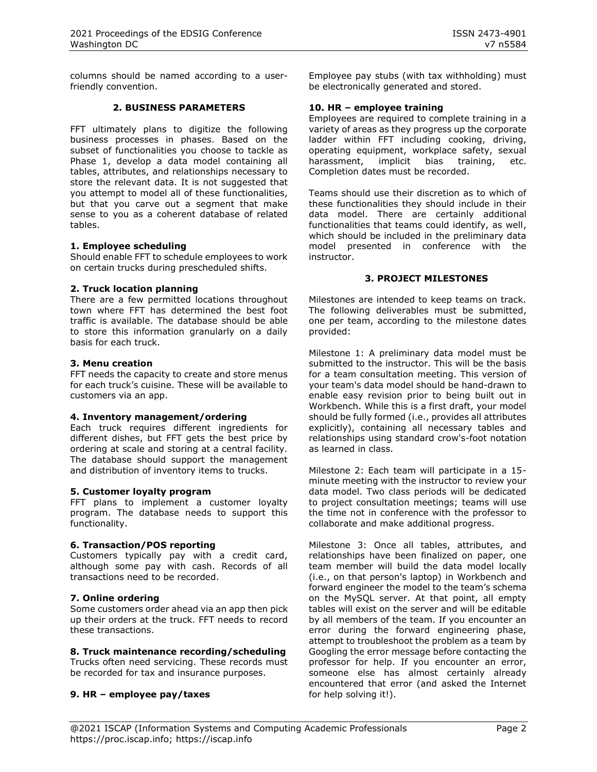columns should be named according to a userfriendly convention.

# **2. BUSINESS PARAMETERS**

FFT ultimately plans to digitize the following business processes in phases. Based on the subset of functionalities you choose to tackle as Phase 1, develop a data model containing all tables, attributes, and relationships necessary to store the relevant data. It is not suggested that you attempt to model all of these functionalities, but that you carve out a segment that make sense to you as a coherent database of related tables.

# **1. Employee scheduling**

Should enable FFT to schedule employees to work on certain trucks during prescheduled shifts.

#### **2. Truck location planning**

There are a few permitted locations throughout town where FFT has determined the best foot traffic is available. The database should be able to store this information granularly on a daily basis for each truck.

#### **3. Menu creation**

FFT needs the capacity to create and store menus for each truck's cuisine. These will be available to customers via an app.

#### **4. Inventory management/ordering**

Each truck requires different ingredients for different dishes, but FFT gets the best price by ordering at scale and storing at a central facility. The database should support the management and distribution of inventory items to trucks.

# **5. Customer loyalty program**

FFT plans to implement a customer loyalty program. The database needs to support this functionality.

# **6. Transaction/POS reporting**

Customers typically pay with a credit card, although some pay with cash. Records of all transactions need to be recorded.

# **7. Online ordering**

Some customers order ahead via an app then pick up their orders at the truck. FFT needs to record these transactions.

#### **8. Truck maintenance recording/scheduling**

Trucks often need servicing. These records must be recorded for tax and insurance purposes.

# **9. HR – employee pay/taxes**

Employee pay stubs (with tax withholding) must be electronically generated and stored.

# **10. HR – employee training**

Employees are required to complete training in a variety of areas as they progress up the corporate ladder within FFT including cooking, driving, operating equipment, workplace safety, sexual harassment, implicit bias training, etc. Completion dates must be recorded.

Teams should use their discretion as to which of these functionalities they should include in their data model. There are certainly additional functionalities that teams could identify, as well, which should be included in the preliminary data model presented in conference with the instructor.

# **3. PROJECT MILESTONES**

Milestones are intended to keep teams on track. The following deliverables must be submitted, one per team, according to the milestone dates provided:

Milestone 1: A preliminary data model must be submitted to the instructor. This will be the basis for a team consultation meeting. This version of your team's data model should be hand-drawn to enable easy revision prior to being built out in Workbench. While this is a first draft, your model should be fully formed (i.e., provides all attributes explicitly), containing all necessary tables and relationships using standard crow's-foot notation as learned in class.

Milestone 2: Each team will participate in a 15 minute meeting with the instructor to review your data model. Two class periods will be dedicated to project consultation meetings; teams will use the time not in conference with the professor to collaborate and make additional progress.

Milestone 3: Once all tables, attributes, and relationships have been finalized on paper, one team member will build the data model locally (i.e., on that person's laptop) in Workbench and forward engineer the model to the team's schema on the MySQL server. At that point, all empty tables will exist on the server and will be editable by all members of the team. If you encounter an error during the forward engineering phase, attempt to troubleshoot the problem as a team by Googling the error message before contacting the professor for help. If you encounter an error, someone else has almost certainly already encountered that error (and asked the Internet for help solving it!).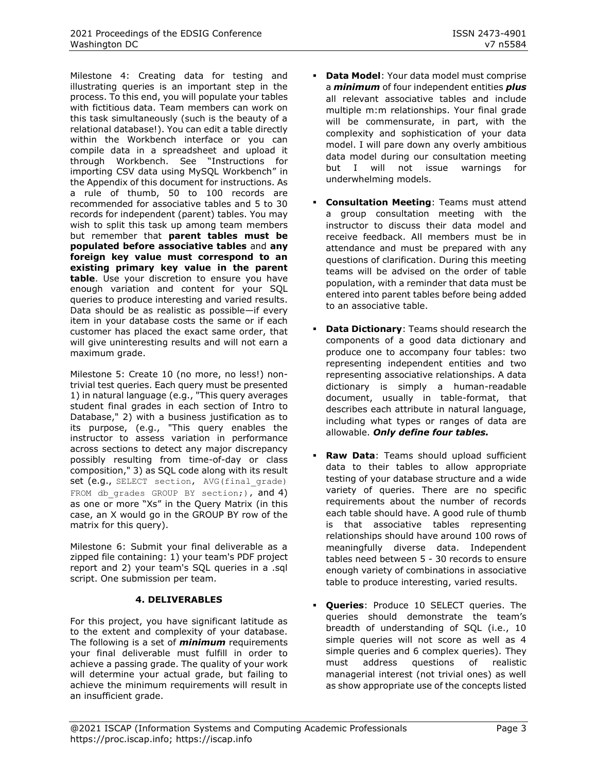Milestone 4: Creating data for testing and illustrating queries is an important step in the process. To this end, you will populate your tables with fictitious data. Team members can work on this task simultaneously (such is the beauty of a relational database!). You can edit a table directly within the Workbench interface or you can compile data in a spreadsheet and upload it through Workbench. See "Instructions for importing CSV data using MySQL Workbench" in the Appendix of this document for instructions. As a rule of thumb, 50 to 100 records are recommended for associative tables and 5 to 30 records for independent (parent) tables. You may wish to split this task up among team members but remember that **parent tables must be populated before associative tables** and **any foreign key value must correspond to an existing primary key value in the parent table**. Use your discretion to ensure you have enough variation and content for your SQL queries to produce interesting and varied results. Data should be as realistic as possible—if every item in your database costs the same or if each customer has placed the exact same order, that will give uninteresting results and will not earn a maximum grade.

Milestone 5: Create 10 (no more, no less!) nontrivial test queries. Each query must be presented 1) in natural language (e.g., "This query averages student final grades in each section of Intro to Database," 2) with a business justification as to its purpose, (e.g., "This query enables the instructor to assess variation in performance across sections to detect any major discrepancy possibly resulting from time-of-day or class composition," 3) as SQL code along with its result set (e.g., SELECT section, AVG(final grade) FROM db grades GROUP BY section;), and 4) as one or more "Xs" in the Query Matrix (in this case, an X would go in the GROUP BY row of the matrix for this query).

Milestone 6: Submit your final deliverable as a zipped file containing: 1) your team's PDF project report and 2) your team's SQL queries in a .sql script. One submission per team.

# **4. DELIVERABLES**

For this project, you have significant latitude as to the extent and complexity of your database. The following is a set of *minimum* requirements your final deliverable must fulfill in order to achieve a passing grade. The quality of your work will determine your actual grade, but failing to achieve the minimum requirements will result in an insufficient grade.

- **Data Model**: Your data model must comprise a *minimum* of four independent entities *plus* all relevant associative tables and include multiple m:m relationships. Your final grade will be commensurate, in part, with the complexity and sophistication of your data model. I will pare down any overly ambitious data model during our consultation meeting but I will not issue warnings for underwhelming models.
- **Consultation Meeting**: Teams must attend a group consultation meeting with the instructor to discuss their data model and receive feedback. All members must be in attendance and must be prepared with any questions of clarification. During this meeting teams will be advised on the order of table population, with a reminder that data must be entered into parent tables before being added to an associative table.
- **Data Dictionary**: Teams should research the components of a good data dictionary and produce one to accompany four tables: two representing independent entities and two representing associative relationships. A data dictionary is simply a human-readable document, usually in table-format, that describes each attribute in natural language, including what types or ranges of data are allowable. *Only define four tables.*
- **Raw Data**: Teams should upload sufficient data to their tables to allow appropriate testing of your database structure and a wide variety of queries. There are no specific requirements about the number of records each table should have. A good rule of thumb is that associative tables representing relationships should have around 100 rows of meaningfully diverse data. Independent tables need between 5 - 30 records to ensure enough variety of combinations in associative table to produce interesting, varied results.
- **Queries**: Produce 10 SELECT queries. The queries should demonstrate the team's breadth of understanding of SQL (i.e., 10 simple queries will not score as well as 4 simple queries and 6 complex queries). They must address questions of realistic managerial interest (not trivial ones) as well as show appropriate use of the concepts listed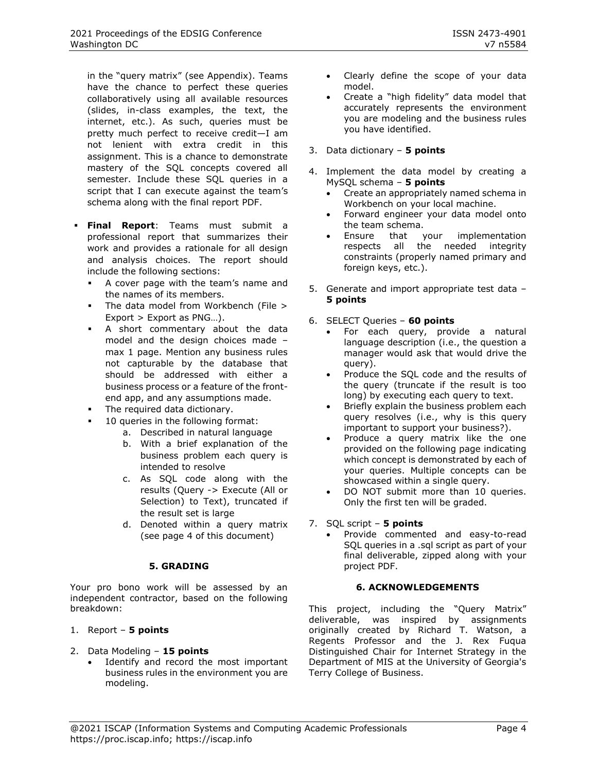in the "query matrix" (see Appendix). Teams have the chance to perfect these queries collaboratively using all available resources (slides, in-class examples, the text, the internet, etc.). As such, queries must be pretty much perfect to receive credit—I am not lenient with extra credit in this assignment. This is a chance to demonstrate mastery of the SQL concepts covered all semester. Include these SQL queries in a script that I can execute against the team's schema along with the final report PDF.

- **Final Report**: Teams must submit a professional report that summarizes their work and provides a rationale for all design and analysis choices. The report should include the following sections:
	- A cover page with the team's name and the names of its members.
	- The data model from Workbench (File  $>$ Export > Export as PNG…).
	- A short commentary about the data model and the design choices made – max 1 page. Mention any business rules not capturable by the database that should be addressed with either a business process or a feature of the frontend app, and any assumptions made.
	- The required data dictionary.
	- 10 queries in the following format:
		- a. Described in natural language
		- b. With a brief explanation of the business problem each query is intended to resolve
		- c. As SQL code along with the results (Query -> Execute (All or Selection) to Text), truncated if the result set is large
		- d. Denoted within a query matrix (see page 4 of this document)

# **5. GRADING**

Your pro bono work will be assessed by an independent contractor, based on the following breakdown:

# 1. Report – **5 points**

- 2. Data Modeling **15 points**
	- Identify and record the most important business rules in the environment you are modeling.
- Clearly define the scope of your data model.
- Create a "high fidelity" data model that accurately represents the environment you are modeling and the business rules you have identified.
- 3. Data dictionary **5 points**
- 4. Implement the data model by creating a MySQL schema – **5 points**
	- Create an appropriately named schema in Workbench on your local machine.
	- Forward engineer your data model onto the team schema.
	- Ensure that your implementation respects all the needed integrity constraints (properly named primary and foreign keys, etc.).
- 5. Generate and import appropriate test data **5 points**
- 6. SELECT Queries **60 points**
	- For each query, provide a natural language description (i.e., the question a manager would ask that would drive the query).
	- Produce the SQL code and the results of the query (truncate if the result is too long) by executing each query to text.
	- Briefly explain the business problem each query resolves (i.e., why is this query important to support your business?).
	- Produce a query matrix like the one provided on the following page indicating which concept is demonstrated by each of your queries. Multiple concepts can be showcased within a single query.
	- DO NOT submit more than 10 queries. Only the first ten will be graded.
- 7. SQL script **5 points**
	- Provide commented and easy-to-read SQL queries in a .sql script as part of your final deliverable, zipped along with your project PDF.

# **6. ACKNOWLEDGEMENTS**

This project, including the "Query Matrix" deliverable, was inspired by assignments originally created by Richard T. Watson, a Regents Professor and the J. Rex Fuqua Distinguished Chair for Internet Strategy in the Department of MIS at the University of Georgia's Terry College of Business.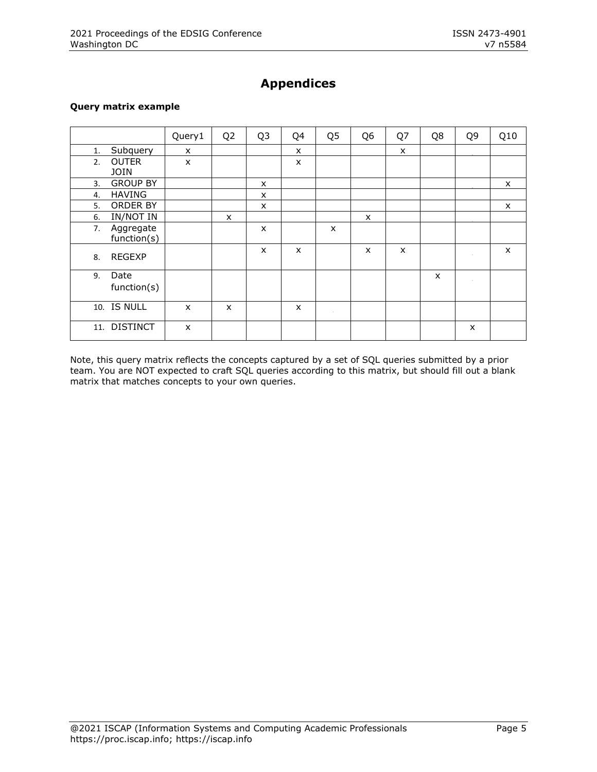# **Appendices**

# **Query matrix example**

|                                | Query1         | Q <sub>2</sub> | Q <sub>3</sub> | Q4           | Q <sub>5</sub> | Q <sub>6</sub> | Q7 | Q8           | Q9     | Q10 |
|--------------------------------|----------------|----------------|----------------|--------------|----------------|----------------|----|--------------|--------|-----|
| Subquery<br>1.                 | X              |                |                | x            |                |                | x  |              |        |     |
| <b>OUTER</b><br>2.<br>JOIN     | $\pmb{\times}$ |                |                | X            |                |                |    |              |        |     |
| <b>GROUP BY</b><br>3.          |                |                | X              |              |                |                |    |              |        | X   |
| <b>HAVING</b><br>4.            |                |                | X              |              |                |                |    |              |        |     |
| ORDER BY<br>5.                 |                |                | X              |              |                |                |    |              |        | X   |
| IN/NOT IN<br>6.                |                | X              |                |              |                | $\mathsf{x}$   |    |              |        |     |
| Aggregate<br>7.<br>function(s) |                |                | X              |              | X              |                |    |              |        |     |
| <b>REGEXP</b><br>8.            |                |                | $\mathsf{x}$   | $\mathsf{x}$ |                | X              | X  |              | $\sim$ | X   |
| Date<br>9.<br>function(s)      |                |                |                |              |                |                |    | $\mathsf{x}$ |        |     |
| 10. IS NULL                    | $\mathsf{x}$   | $\mathsf{x}$   |                | X            | $\sim$         |                |    |              |        |     |
| 11. DISTINCT                   | X              |                |                |              |                |                |    |              | X      |     |

Note, this query matrix reflects the concepts captured by a set of SQL queries submitted by a prior team. You are NOT expected to craft SQL queries according to this matrix, but should fill out a blank matrix that matches concepts to your own queries.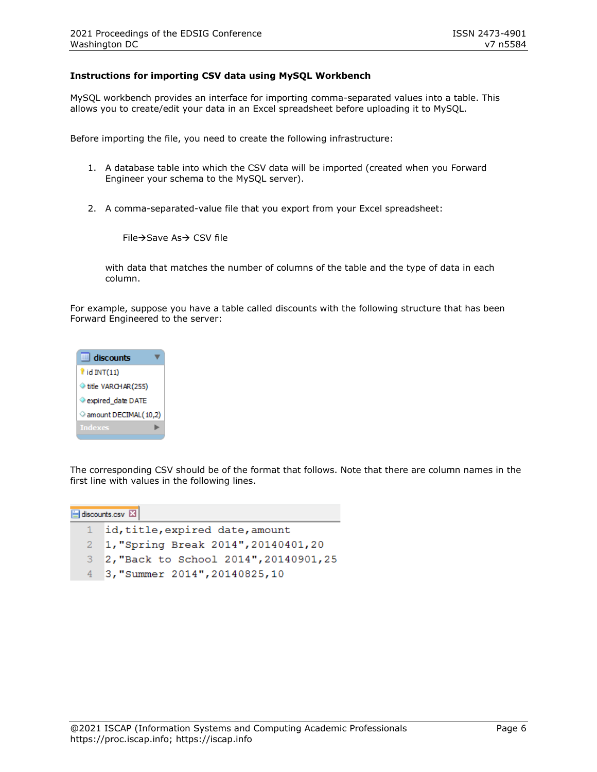#### **Instructions for importing CSV data using MySQL Workbench**

MySQL workbench provides an interface for importing comma-separated values into a table. This allows you to create/edit your data in an Excel spreadsheet before uploading it to MySQL.

Before importing the file, you need to create the following infrastructure:

- 1. A database table into which the CSV data will be imported (created when you Forward Engineer your schema to the MySQL server).
- 2. A comma-separated-value file that you export from your Excel spreadsheet:

File→Save As→ CSV file

with data that matches the number of columns of the table and the type of data in each column.

For example, suppose you have a table called discounts with the following structure that has been Forward Engineered to the server:



The corresponding CSV should be of the format that follows. Note that there are column names in the first line with values in the following lines.

| discounts.csv <b>E</b> |                                          |  |  |  |  |
|------------------------|------------------------------------------|--|--|--|--|
|                        | 1 id, title, expired date, amount        |  |  |  |  |
| $2^{\circ}$            | 1, "Spring Break 2014", 20140401, 20     |  |  |  |  |
|                        | 3 2, "Back to School 2014", 20140901, 25 |  |  |  |  |
|                        | 4 3, "Summer 2014", 20140825, 10         |  |  |  |  |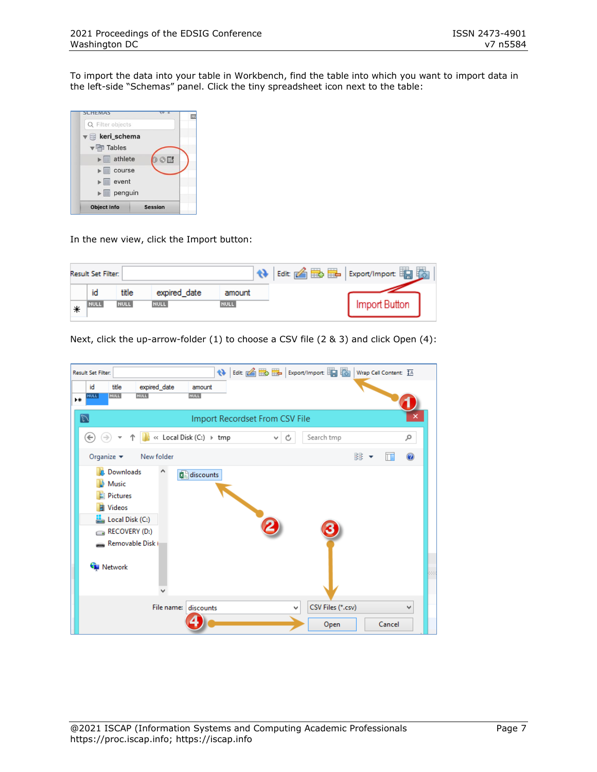To import the data into your table in Workbench, find the table into which you want to import data in the left-side "Schemas" panel. Click the tiny spreadsheet icon next to the table:



In the new view, click the Import button:

|   | Result Set Filter: |                      |                             |                       | N Edit & B B Export/Import B B |               |  |
|---|--------------------|----------------------|-----------------------------|-----------------------|--------------------------------|---------------|--|
|   | id<br>NULL         | title<br><b>NULL</b> | expired date<br><b>NULL</b> | amount<br><b>NULL</b> |                                | Import Button |  |
| ⋇ |                    |                      |                             |                       |                                |               |  |

Next, click the up-arrow-folder (1) to choose a CSV file (2 & 3) and click Open (4):

| Result Set Filter:                                                                                                                                                   | Next Content IA                |                           |             |
|----------------------------------------------------------------------------------------------------------------------------------------------------------------------|--------------------------------|---------------------------|-------------|
| expired_date<br>id<br>title<br>amount<br><b>NULL</b><br>NULL<br><b>NULL</b><br><b>NULL</b><br>┣₩                                                                     |                                |                           |             |
| $\mathbb{Z}$                                                                                                                                                         | Import Recordset From CSV File |                           | ×           |
| « Local Disk (C:) > tmp<br>(←                                                                                                                                        | v.<br>C                        | Search tmp                | مر          |
| Organize $\blacktriangledown$<br>New folder                                                                                                                          |                                | 騑                         | 0           |
| Downloads<br><b>Da</b> discounts<br>Music<br><b>E</b> Pictures<br><b>團 Videos</b><br>Local Disk (C:)<br>RECOVERY (D:)<br>Removable Disk (<br><b>Computer Network</b> |                                |                           | <b>Sec</b>  |
| File name: discounts                                                                                                                                                 | v                              | CSV Files (*.csv)<br>Open | v<br>Cancel |